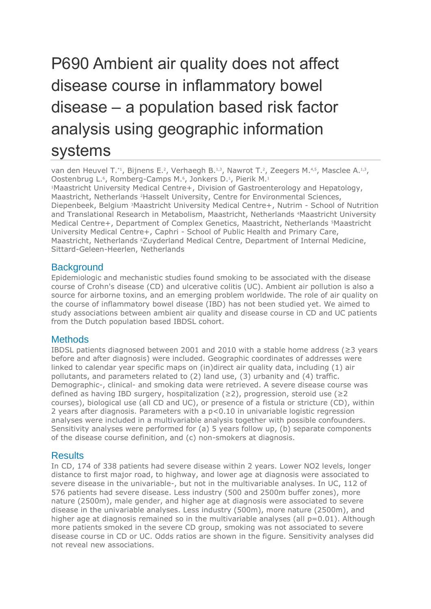# P690 Ambient air quality does not affect disease course in inflammatory bowel disease – a population based risk factor analysis using geographic information systems

van den Heuvel T.\*1, Bijnens E.<sup>2</sup>, Verhaegh B.<sup>1,3</sup>, Nawrot T.<sup>2</sup>, Zeegers M.<sup>4,5</sup>, Masclee A.<sup>1,3</sup>, Oostenbrug L.<sup>6</sup>, Romberg-Camps M.<sup>6</sup>, Jonkers D.<sup>1</sup>, Pierik M.<sup>1</sup>

<sup>1</sup>Maastricht University Medical Centre+, Division of Gastroenterology and Hepatology, Maastricht, Netherlands <sup>2</sup>Hasselt University, Centre for Environmental Sciences, Diepenbeek, Belgium <sup>3</sup>Maastricht University Medical Centre+, Nutrim - School of Nutrition and Translational Research in Metabolism, Maastricht, Netherlands <sup>4</sup>Maastricht University Medical Centre+, Department of Complex Genetics, Maastricht, Netherlands <sup>5</sup>Maastricht University Medical Centre+, Caphri - School of Public Health and Primary Care, Maastricht, Netherlands <sup>6</sup>Zuyderland Medical Centre, Department of Internal Medicine, Sittard-Geleen-Heerlen, Netherlands

## **Background**

Epidemiologic and mechanistic studies found smoking to be associated with the disease course of Crohn's disease (CD) and ulcerative colitis (UC). Ambient air pollution is also a source for airborne toxins, and an emerging problem worldwide. The role of air quality on the course of inflammatory bowel disease (IBD) has not been studied yet. We aimed to study associations between ambient air quality and disease course in CD and UC patients from the Dutch population based IBDSL cohort.

## **Methods**

IBDSL patients diagnosed between 2001 and 2010 with a stable home address (≥3 years before and after diagnosis) were included. Geographic coordinates of addresses were linked to calendar year specific maps on (in)direct air quality data, including (1) air pollutants, and parameters related to (2) land use, (3) urbanity and (4) traffic. Demographic-, clinical- and smoking data were retrieved. A severe disease course was defined as having IBD surgery, hospitalization ( $\geq$ 2), progression, steroid use ( $\geq$ 2 courses), biological use (all CD and UC), or presence of a fistula or stricture (CD), within 2 years after diagnosis. Parameters with a  $p<0.10$  in univariable logistic regression analyses were included in a multivariable analysis together with possible confounders. Sensitivity analyses were performed for (a) 5 years follow up, (b) separate components of the disease course definition, and (c) non-smokers at diagnosis.

### **Results**

In CD, 174 of 338 patients had severe disease within 2 years. Lower NO2 levels, longer distance to first major road, to highway, and lower age at diagnosis were associated to severe disease in the univariable-, but not in the multivariable analyses. In UC, 112 of 576 patients had severe disease. Less industry (500 and 2500m buffer zones), more nature (2500m), male gender, and higher age at diagnosis were associated to severe disease in the univariable analyses. Less industry (500m), more nature (2500m), and higher age at diagnosis remained so in the multivariable analyses (all  $p=0.01$ ). Although more patients smoked in the severe CD group, smoking was not associated to severe disease course in CD or UC. Odds ratios are shown in the figure. Sensitivity analyses did not reveal new associations.